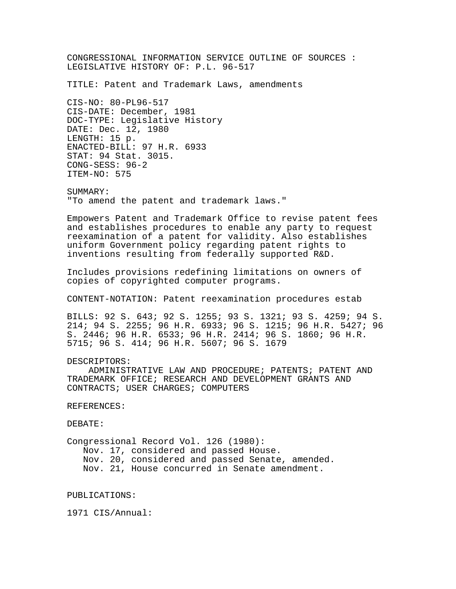CONGRESSIONAL INFORMATION SERVICE OUTLINE OF SOURCES : LEGISLATIVE HISTORY OF: P.L. 96-517

TITLE: Patent and Trademark Laws, amendments

CIS-NO: 80-PL96-517 CIS-DATE: December, 1981 DOC-TYPE: Legislative History DATE: Dec. 12, 1980 LENGTH: 15 p. ENACTED-BILL: 97 H.R. 6933 STAT: 94 Stat. 3015. CONG-SESS: 96-2 ITEM-NO: 575

SUMMARY: "To amend the patent and trademark laws."

Empowers Patent and Trademark Office to revise patent fees and establishes procedures to enable any party to request reexamination of a patent for validity. Also establishes uniform Government policy regarding patent rights to inventions resulting from federally supported R&D.

Includes provisions redefining limitations on owners of copies of copyrighted computer programs.

CONTENT-NOTATION: Patent reexamination procedures estab

BILLS: 92 S. 643; 92 S. 1255; 93 S. 1321; 93 S. 4259; 94 S. 214; 94 S. 2255; 96 H.R. 6933; 96 S. 1215; 96 H.R. 5427; 96 S. 2446; 96 H.R. 6533; 96 H.R. 2414; 96 S. 1860; 96 H.R. 5715; 96 S. 414; 96 H.R. 5607; 96 S. 1679

## DESCRIPTORS:

 ADMINISTRATIVE LAW AND PROCEDURE; PATENTS; PATENT AND TRADEMARK OFFICE; RESEARCH AND DEVELOPMENT GRANTS AND CONTRACTS; USER CHARGES; COMPUTERS

## REFERENCES:

DEBATE:

Congressional Record Vol. 126 (1980): Nov. 17, considered and passed House. Nov. 20, considered and passed Senate, amended. Nov. 21, House concurred in Senate amendment.

PUBLICATIONS:

1971 CIS/Annual: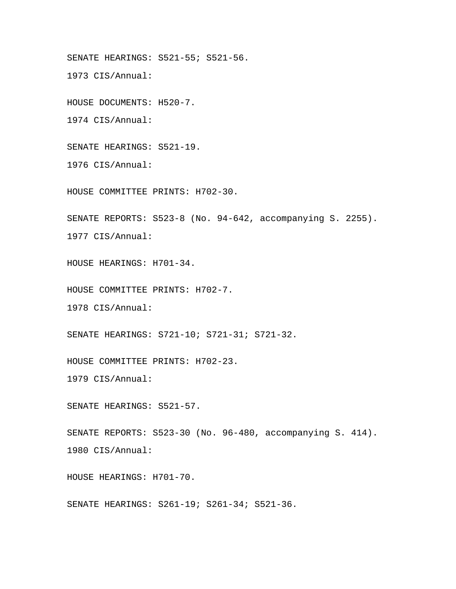SENATE HEARINGS: S521-55; S521-56.

1973 CIS/Annual:

HOUSE DOCUMENTS: H520-7.

1974 CIS/Annual:

SENATE HEARINGS: S521-19.

1976 CIS/Annual:

HOUSE COMMITTEE PRINTS: H702-30.

SENATE REPORTS: S523-8 (No. 94-642, accompanying S. 2255). 1977 CIS/Annual:

HOUSE HEARINGS: H701-34.

HOUSE COMMITTEE PRINTS: H702-7.

1978 CIS/Annual:

SENATE HEARINGS: S721-10; S721-31; S721-32.

HOUSE COMMITTEE PRINTS: H702-23.

1979 CIS/Annual:

SENATE HEARINGS: S521-57.

SENATE REPORTS: S523-30 (No. 96-480, accompanying S. 414). 1980 CIS/Annual:

HOUSE HEARINGS: H701-70.

SENATE HEARINGS: S261-19; S261-34; S521-36.